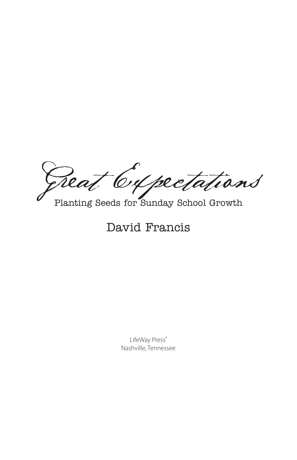Great Cypectations

Planting Seeds for Sunday School Growth

# David Francis

LifeWay Press® Nashville, Tennessee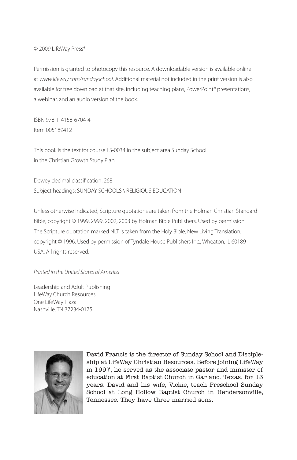© 2009 LifeWay Press®

Permission is granted to photocopy this resource. A downloadable version is available online at *www.lifeway.com/sundayschool*. Additional material not included in the print version is also available for free download at that site, including teaching plans, PowerPoint® presentations, a webinar, and an audio version of the book.

ISBN 978-1-4158-6704-4 Item 005189412

This book is the text for course LS-0034 in the subject area Sunday School in the Christian Growth Study Plan.

Dewey decimal classification: 268 Subject headings: SUNDAY SCHOOLS \ RELIGIOUS EDUCATION

Unless otherwise indicated, Scripture quotations are taken from the Holman Christian Standard Bible, copyright © 1999, 2999, 2002, 2003 by Holman Bible Publishers. Used by permission. The Scripture quotation marked NLT is taken from the Holy Bible, New Living Translation, copyright © 1996. Used by permission of Tyndale House Publishers Inc., Wheaton, IL 60189 USA. All rights reserved.

#### *Printed in the United States of America*

Leadership and Adult Publishing LifeWay Church Resources One LifeWay Plaza Nashville, TN 37234-0175



David Francis is the director of Sunday School and Discipleship at LifeWay Christian Resources. Before joining LifeWay in 1997, he served as the associate pastor and minister of education at First Baptist Church in Garland, Texas, for 13 years. David and his wife, Vickie, teach Preschool Sunday School at Long Hollow Baptist Church in Hendersonville, Tennessee. They have three married sons.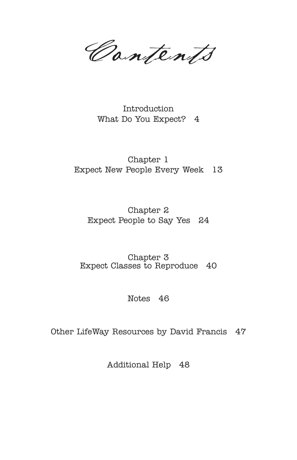Contents

Introduction What Do You Expect? 4

Chapter 1 Expect New People Every Week 13

Chapter 2 Expect People to Say Yes 24

Chapter 3 Expect Classes to Reproduce 40

Notes 46

Other LifeWay Resources by David Francis 47

Additional Help 48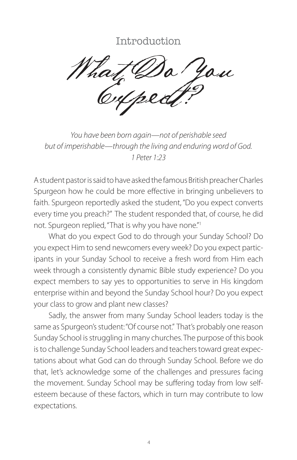## Introduction

What Do You

*You have been born again—not of perishable seed but of imperishable—through the living and enduring word of God. 1 Peter 1:23*

A student pastor is said to have asked the famous British preacher Charles Spurgeon how he could be more effective in bringing unbelievers to faith. Spurgeon reportedly asked the student, "Do you expect converts every time you preach?" The student responded that, of course, he did not. Spurgeon replied, "That is why you have none."<sup>1</sup>

What do you expect God to do through your Sunday School? Do you expect Him to send newcomers every week? Do you expect participants in your Sunday School to receive a fresh word from Him each week through a consistently dynamic Bible study experience? Do you expect members to say yes to opportunities to serve in His kingdom enterprise within and beyond the Sunday School hour? Do you expect your class to grow and plant new classes?

Sadly, the answer from many Sunday School leaders today is the same as Spurgeon's student: "Of course not." That's probably one reason Sunday School is struggling in many churches. The purpose of this book is to challenge Sunday School leaders and teachers toward great expectations about what God can do through Sunday School. Before we do that, let's acknowledge some of the challenges and pressures facing the movement. Sunday School may be suffering today from low selfesteem because of these factors, which in turn may contribute to low expectations.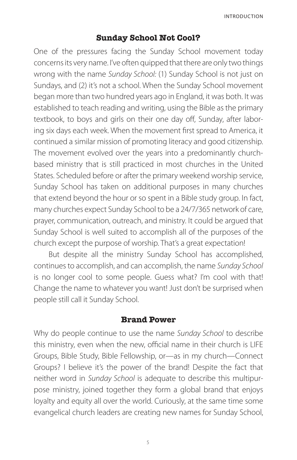#### **Sunday School Not Cool?**

One of the pressures facing the Sunday School movement today concerns its very name. I've often quipped that there are only two things wrong with the name *Sunday School:* (1) Sunday School is not just on Sundays, and (2) it's not a school. When the Sunday School movement began more than two hundred years ago in England, it was both. It was established to teach reading and writing, using the Bible as the primary textbook, to boys and girls on their one day off, Sunday, after laboring six days each week. When the movement first spread to America, it continued a similar mission of promoting literacy and good citizenship. The movement evolved over the years into a predominantly churchbased ministry that is still practiced in most churches in the United States. Scheduled before or after the primary weekend worship service, Sunday School has taken on additional purposes in many churches that extend beyond the hour or so spent in a Bible study group. In fact, many churches expect Sunday School to be a 24/7/365 network of care, prayer, communication, outreach, and ministry. It could be argued that Sunday School is well suited to accomplish all of the purposes of the church except the purpose of worship. That's a great expectation!

But despite all the ministry Sunday School has accomplished, continues to accomplish, and can accomplish, the name *Sunday School* is no longer cool to some people. Guess what? I'm cool with that! Change the name to whatever you want! Just don't be surprised when people still call it Sunday School.

#### **Brand Power**

Why do people continue to use the name *Sunday School* to describe this ministry, even when the new, official name in their church is LIFE Groups, Bible Study, Bible Fellowship, or—as in my church—Connect Groups? I believe it's the power of the brand! Despite the fact that neither word in *Sunday School* is adequate to describe this multipurpose ministry, joined together they form a global brand that enjoys loyalty and equity all over the world. Curiously, at the same time some evangelical church leaders are creating new names for Sunday School,

5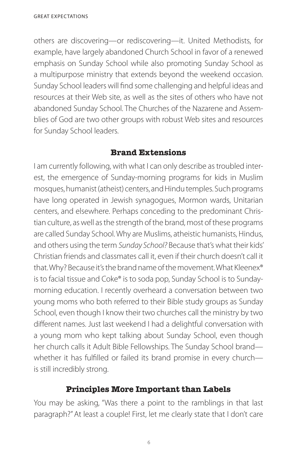others are discovering—or rediscovering—it. United Methodists, for example, have largely abandoned Church School in favor of a renewed emphasis on Sunday School while also promoting Sunday School as a multipurpose ministry that extends beyond the weekend occasion. Sunday School leaders will find some challenging and helpful ideas and resources at their Web site, as well as the sites of others who have not abandoned Sunday School. The Churches of the Nazarene and Assemblies of God are two other groups with robust Web sites and resources for Sunday School leaders.

### **Brand Extensions**

I am currently following, with what I can only describe as troubled interest, the emergence of Sunday-morning programs for kids in Muslim mosques, humanist (atheist) centers, and Hindu temples. Such programs have long operated in Jewish synagogues, Mormon wards, Unitarian centers, and elsewhere. Perhaps conceding to the predominant Christian culture, as well as the strength of the brand, most of these programs are called Sunday School. Why are Muslims, atheistic humanists, Hindus, and others using the term *Sunday School?* Because that's what their kids' Christian friends and classmates call it, even if their church doesn't call it that. Why? Because it's the brand name of the movement. What Kleenex® is to facial tissue and Coke® is to soda pop, Sunday School is to Sundaymorning education. I recently overheard a conversation between two young moms who both referred to their Bible study groups as Sunday School, even though I know their two churches call the ministry by two different names. Just last weekend I had a delightful conversation with a young mom who kept talking about Sunday School, even though her church calls it Adult Bible Fellowships. The Sunday School brand whether it has fulfilled or failed its brand promise in every churchis still incredibly strong.

#### **Principles More Important than Labels**

You may be asking, "Was there a point to the ramblings in that last paragraph?" At least a couple! First, let me clearly state that I don't care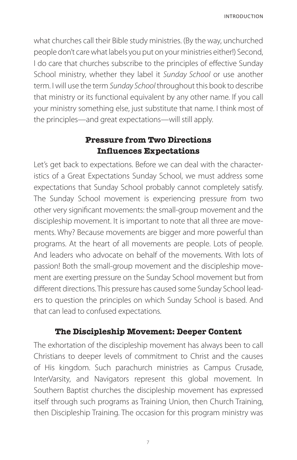what churches call their Bible study ministries. (By the way, unchurched people don't care what labels you put on your ministries either!) Second, I do care that churches subscribe to the principles of effective Sunday School ministry, whether they label it *Sunday School* or use another term. I will use the term *Sunday School* throughout this book to describe that ministry or its functional equivalent by any other name. If you call your ministry something else, just substitute that name. I think most of the principles—and great expectations—will still apply.

## **Pressure from Two Directions Influences Expectations**

Let's get back to expectations. Before we can deal with the characteristics of a Great Expectations Sunday School, we must address some expectations that Sunday School probably cannot completely satisfy. The Sunday School movement is experiencing pressure from two other very significant movements: the small-group movement and the discipleship movement. It is important to note that all three are movements. Why? Because movements are bigger and more powerful than programs. At the heart of all movements are people. Lots of people. And leaders who advocate on behalf of the movements. With lots of passion! Both the small-group movement and the discipleship movement are exerting pressure on the Sunday School movement but from different directions. This pressure has caused some Sunday School leaders to question the principles on which Sunday School is based. And that can lead to confused expectations.

#### **The Discipleship Movement: Deeper Content**

The exhortation of the discipleship movement has always been to call Christians to deeper levels of commitment to Christ and the causes of His kingdom. Such parachurch ministries as Campus Crusade, InterVarsity, and Navigators represent this global movement. In Southern Baptist churches the discipleship movement has expressed itself through such programs as Training Union, then Church Training, then Discipleship Training. The occasion for this program ministry was

7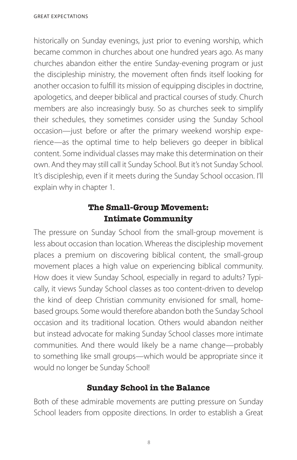historically on Sunday evenings, just prior to evening worship, which became common in churches about one hundred years ago. As many churches abandon either the entire Sunday-evening program or just the discipleship ministry, the movement often finds itself looking for another occasion to fulfill its mission of equipping disciples in doctrine, apologetics, and deeper biblical and practical courses of study. Church members are also increasingly busy. So as churches seek to simplify their schedules, they sometimes consider using the Sunday School occasion—just before or after the primary weekend worship experience—as the optimal time to help believers go deeper in biblical content. Some individual classes may make this determination on their own. And they may still call it Sunday School. But it's not Sunday School. It's discipleship, even if it meets during the Sunday School occasion. I'll explain why in chapter 1.

## **The Small-Group Movement: Intimate Community**

The pressure on Sunday School from the small-group movement is less about occasion than location. Whereas the discipleship movement places a premium on discovering biblical content, the small-group movement places a high value on experiencing biblical community. How does it view Sunday School, especially in regard to adults? Typically, it views Sunday School classes as too content-driven to develop the kind of deep Christian community envisioned for small, homebased groups. Some would therefore abandon both the Sunday School occasion and its traditional location. Others would abandon neither but instead advocate for making Sunday School classes more intimate communities. And there would likely be a name change—probably to something like small groups—which would be appropriate since it would no longer be Sunday School!

## **Sunday School in the Balance**

Both of these admirable movements are putting pressure on Sunday School leaders from opposite directions. In order to establish a Great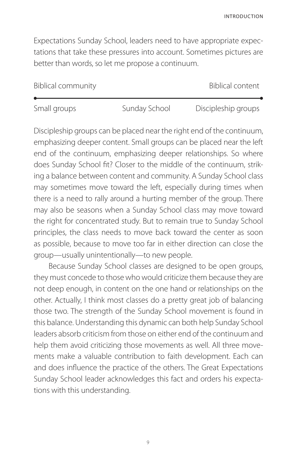INTRODUCTION

Expectations Sunday School, leaders need to have appropriate expectations that take these pressures into account. Sometimes pictures are better than words, so let me propose a continuum.

| <b>Biblical community</b> |               | Biblical content    |
|---------------------------|---------------|---------------------|
|                           |               |                     |
| Small groups              | Sunday School | Discipleship groups |

Discipleship groups can be placed near the right end of the continuum, emphasizing deeper content. Small groups can be placed near the left end of the continuum, emphasizing deeper relationships. So where does Sunday School fit? Closer to the middle of the continuum, striking a balance between content and community. A Sunday School class may sometimes move toward the left, especially during times when there is a need to rally around a hurting member of the group. There may also be seasons when a Sunday School class may move toward the right for concentrated study. But to remain true to Sunday School principles, the class needs to move back toward the center as soon as possible, because to move too far in either direction can close the group—usually unintentionally—to new people.

Because Sunday School classes are designed to be open groups, they must concede to those who would criticize them because they are not deep enough, in content on the one hand or relationships on the other. Actually, I think most classes do a pretty great job of balancing those two. The strength of the Sunday School movement is found in this balance. Understanding this dynamic can both help Sunday School leaders absorb criticism from those on either end of the continuum and help them avoid criticizing those movements as well. All three movements make a valuable contribution to faith development. Each can and does influence the practice of the others. The Great Expectations Sunday School leader acknowledges this fact and orders his expectations with this understanding.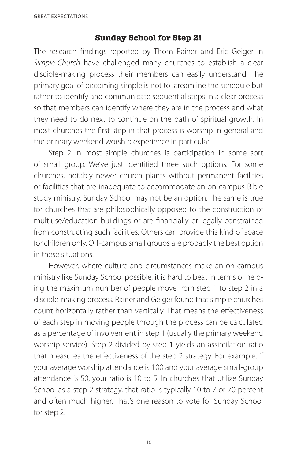#### **Sunday School for Step 2!**

The research findings reported by Thom Rainer and Eric Geiger in *Simple Church* have challenged many churches to establish a clear disciple-making process their members can easily understand. The primary goal of becoming simple is not to streamline the schedule but rather to identify and communicate sequential steps in a clear process so that members can identify where they are in the process and what they need to do next to continue on the path of spiritual growth. In most churches the first step in that process is worship in general and the primary weekend worship experience in particular.

Step 2 in most simple churches is participation in some sort of small group. We've just identified three such options. For some churches, notably newer church plants without permanent facilities or facilities that are inadequate to accommodate an on-campus Bible study ministry, Sunday School may not be an option. The same is true for churches that are philosophically opposed to the construction of multiuse/education buildings or are financially or legally constrained from constructing such facilities. Others can provide this kind of space for children only. Off-campus small groups are probably the best option in these situations.

However, where culture and circumstances make an on-campus ministry like Sunday School possible, it is hard to beat in terms of helping the maximum number of people move from step 1 to step 2 in a disciple-making process. Rainer and Geiger found that simple churches count horizontally rather than vertically. That means the effectiveness of each step in moving people through the process can be calculated as a percentage of involvement in step 1 (usually the primary weekend worship service). Step 2 divided by step 1 yields an assimilation ratio that measures the effectiveness of the step 2 strategy. For example, if your average worship attendance is 100 and your average small-group attendance is 50, your ratio is 10 to 5. In churches that utilize Sunday School as a step 2 strategy, that ratio is typically 10 to 7 or 70 percent and often much higher. That's one reason to vote for Sunday School for step 2!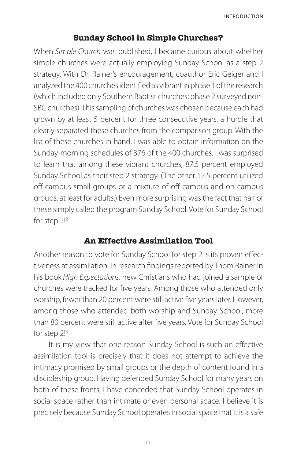### **Sunday School in Simple Churches?**

When *Simple Church* was published, I became curious about whether simple churches were actually employing Sunday School as a step 2 strategy. With Dr. Rainer's encouragement, coauthor Eric Geiger and I analyzed the 400 churches identified as vibrant in phase 1 of the research (which included only Southern Baptist churches; phase 2 surveyed non-SBC churches). This sampling of churches was chosen because each had grown by at least 5 percent for three consecutive years, a hurdle that clearly separated these churches from the comparison group. With the list of these churches in hand, I was able to obtain information on the Sunday-morning schedules of 376 of the 400 churches. I was surprised to learn that among these vibrant churches, 87.5 percent employed Sunday School as their step 2 strategy. (The other 12.5 percent utilized off-campus small groups or a mixture of off-campus and on-campus groups, at least for adults.) Even more surprising was the fact that half of these simply called the program Sunday School. Vote for Sunday School for step 2!<sup>2</sup>

#### **An Effective Assimilation Tool**

Another reason to vote for Sunday School for step 2 is its proven effectiveness at assimilation. In research findings reported by Thom Rainer in his book *High Expectations,* new Christians who had joined a sample of churches were tracked for five years. Among those who attended only worship, fewer than 20 percent were still active five years later. However, among those who attended both worship and Sunday School, more than 80 percent were still active after five years. Vote for Sunday School for step 2!<sup>3</sup>

It is my view that one reason Sunday School is such an effective assimilation tool is precisely that it does not attempt to achieve the intimacy promised by small groups or the depth of content found in a discipleship group. Having defended Sunday School for many years on both of these fronts, I have conceded that Sunday School operates in social space rather than intimate or even personal space. I believe it is precisely because Sunday School operates in social space that it is a safe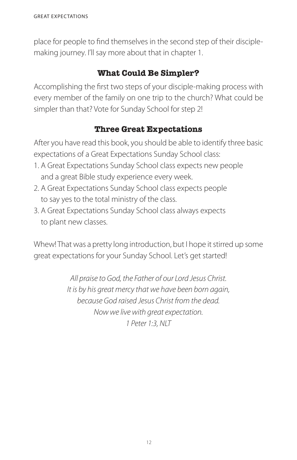place for people to find themselves in the second step of their disciplemaking journey. I'll say more about that in chapter 1.

## **What Could Be Simpler?**

Accomplishing the first two steps of your disciple-making process with every member of the family on one trip to the church? What could be simpler than that? Vote for Sunday School for step 2!

## **Three Great Expectations**

After you have read this book, you should be able to identify three basic expectations of a Great Expectations Sunday School class:

- 1. A Great Expectations Sunday School class expects new people and a great Bible study experience every week.
- 2. A Great Expectations Sunday School class expects people to say yes to the total ministry of the class.
- 3. A Great Expectations Sunday School class always expects to plant new classes.

Whew! That was a pretty long introduction, but I hope it stirred up some great expectations for your Sunday School. Let's get started!

> *All praise to God, the Father of our Lord Jesus Christ. It is by his great mercy that we have been born again, because God raised Jesus Christ from the dead. Now we live with great expectation. 1 Peter 1:3, NLT*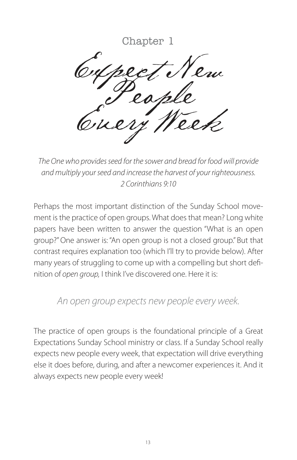## Chapter 1

Cupect New Every Week

*The One who provides seed for the sower and bread for food will provide and multiply your seed and increase the harvest of your righteousness. 2 Corinthians 9:10*

Perhaps the most important distinction of the Sunday School movement is the practice of open groups. What does that mean? Long white papers have been written to answer the question "What is an open group?" One answer is: "An open group is not a closed group." But that contrast requires explanation too (which I'll try to provide below). After many years of struggling to come up with a compelling but short definition of *open group,* I think I've discovered one. Here it is:

## *An open group expects new people every week.*

The practice of open groups is the foundational principle of a Great Expectations Sunday School ministry or class. If a Sunday School really expects new people every week, that expectation will drive everything else it does before, during, and after a newcomer experiences it. And it always expects new people every week!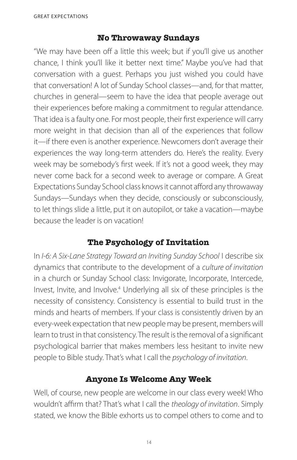### **No Throwaway Sundays**

"We may have been off a little this week; but if you'll give us another chance, I think you'll like it better next time." Maybe you've had that conversation with a guest. Perhaps you just wished you could have that conversation! A lot of Sunday School classes—and, for that matter, churches in general—seem to have the idea that people average out their experiences before making a commitment to regular attendance. That idea is a faulty one. For most people, their first experience will carry more weight in that decision than all of the experiences that follow it—if there even is another experience. Newcomers don't average their experiences the way long-term attenders do. Here's the reality. Every week may be somebody's first week. If it's not a good week, they may never come back for a second week to average or compare. A Great Expectations Sunday School class knows it cannot afford any throwaway Sundays—Sundays when they decide, consciously or subconsciously, to let things slide a little, put it on autopilot, or take a vacation—maybe because the leader is on vacation!

## **The Psychology of Invitation**

In *I-6: A Six-Lane Strategy Toward an Inviting Sunday School* I describe six dynamics that contribute to the development of a *culture of invitation* in a church or Sunday School class: Invigorate, Incorporate, Intercede, Invest, Invite, and Involve.<sup>4</sup> Underlying all six of these principles is the necessity of consistency. Consistency is essential to build trust in the minds and hearts of members. If your class is consistently driven by an every-week expectation that new people may be present, members will learn to trust in that consistency. The result is the removal of a significant psychological barrier that makes members less hesitant to invite new people to Bible study. That's what I call the *psychology of invitation*.

## **Anyone Is Welcome Any Week**

Well, of course, new people are welcome in our class every week! Who wouldn't affirm that? That's what I call the *theology of invitation*. Simply stated, we know the Bible exhorts us to compel others to come and to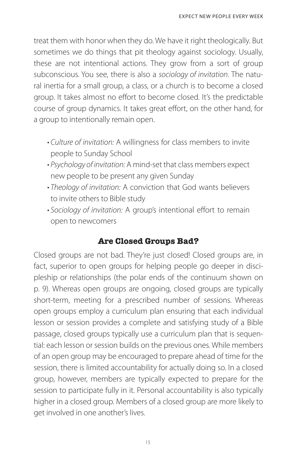treat them with honor when they do. We have it right theologically. But sometimes we do things that pit theology against sociology. Usually, these are not intentional actions. They grow from a sort of group subconscious. You see, there is also a *sociology of invitation*. The natural inertia for a small group, a class, or a church is to become a closed group. It takes almost no effort to become closed. It's the predictable course of group dynamics. It takes great effort, on the other hand, for a group to intentionally remain open.

- Culture of invitation: A willingness for class members to invite people to Sunday School
- Psychology of invitation: A mind-set that class members expect new people to be present any given Sunday
- Theology of invitation: A conviction that God wants believers to invite others to Bible study
- Sociology of invitation: A group's intentional effort to remain open to newcomers

## **Are Closed Groups Bad?**

Closed groups are not bad. They're just closed! Closed groups are, in fact, superior to open groups for helping people go deeper in discipleship or relationships (the polar ends of the continuum shown on p. 9). Whereas open groups are ongoing, closed groups are typically short-term, meeting for a prescribed number of sessions. Whereas open groups employ a curriculum plan ensuring that each individual lesson or session provides a complete and satisfying study of a Bible passage, closed groups typically use a curriculum plan that is sequential: each lesson or session builds on the previous ones. While members of an open group may be encouraged to prepare ahead of time for the session, there is limited accountability for actually doing so. In a closed group, however, members are typically expected to prepare for the session to participate fully in it. Personal accountability is also typically higher in a closed group. Members of a closed group are more likely to get involved in one another's lives.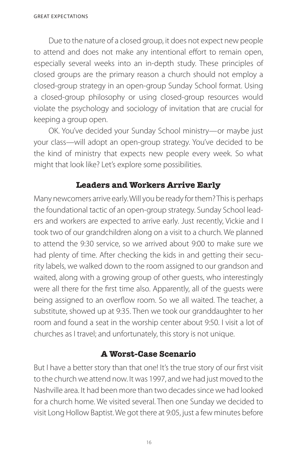Due to the nature of a closed group, it does not expect new people to attend and does not make any intentional effort to remain open, especially several weeks into an in-depth study. These principles of closed groups are the primary reason a church should not employ a closed-group strategy in an open-group Sunday School format. Using a closed-group philosophy or using closed-group resources would violate the psychology and sociology of invitation that are crucial for keeping a group open.

OK. You've decided your Sunday School ministry—or maybe just your class—will adopt an open-group strategy. You've decided to be the kind of ministry that expects new people every week. So what might that look like? Let's explore some possibilities.

#### **Leaders and Workers Arrive Early**

Many newcomers arrive early. Will you be ready for them? This is perhaps the foundational tactic of an open-group strategy. Sunday School leaders and workers are expected to arrive early. Just recently, Vickie and I took two of our grandchildren along on a visit to a church. We planned to attend the 9:30 service, so we arrived about 9:00 to make sure we had plenty of time. After checking the kids in and getting their security labels, we walked down to the room assigned to our grandson and waited, along with a growing group of other guests, who interestingly were all there for the first time also. Apparently, all of the guests were being assigned to an overflow room. So we all waited. The teacher, a substitute, showed up at 9:35. Then we took our granddaughter to her room and found a seat in the worship center about 9:50. I visit a lot of churches as I travel; and unfortunately, this story is not unique.

#### **A Worst-Case Scenario**

But I have a better story than that one! It's the true story of our first visit to the church we attend now. It was 1997, and we had just moved to the Nashville area. It had been more than two decades since we had looked for a church home. We visited several. Then one Sunday we decided to visit Long Hollow Baptist. We got there at 9:05, just a few minutes before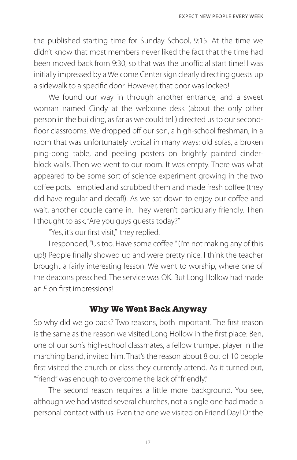the published starting time for Sunday School, 9:15. At the time we didn't know that most members never liked the fact that the time had been moved back from 9:30, so that was the unofficial start time! I was initially impressed by a Welcome Center sign clearly directing guests up a sidewalk to a specific door. However, that door was locked!

We found our way in through another entrance, and a sweet woman named Cindy at the welcome desk (about the only other person in the building, as far as we could tell) directed us to our secondfloor classrooms. We dropped off our son, a high-school freshman, in a room that was unfortunately typical in many ways: old sofas, a broken ping-pong table, and peeling posters on brightly painted cinderblock walls. Then we went to our room. It was empty. There was what appeared to be some sort of science experiment growing in the two coffee pots. I emptied and scrubbed them and made fresh coffee (they did have regular and decaf!). As we sat down to enjoy our coffee and wait, another couple came in. They weren't particularly friendly. Then I thought to ask, "Are you guys guests today?"

"Yes, it's our first visit," they replied.

I responded, "Us too. Have some coffee!" (I'm not making any of this up!) People finally showed up and were pretty nice. I think the teacher brought a fairly interesting lesson. We went to worship, where one of the deacons preached. The service was OK. But Long Hollow had made an *F* on first impressions!

#### **Why We Went Back Anyway**

So why did we go back? Two reasons, both important. The first reason is the same as the reason we visited Long Hollow in the first place: Ben, one of our son's high-school classmates, a fellow trumpet player in the marching band, invited him. That's the reason about 8 out of 10 people first visited the church or class they currently attend. As it turned out, "friend" was enough to overcome the lack of "friendly."

The second reason requires a little more background. You see, although we had visited several churches, not a single one had made a personal contact with us. Even the one we visited on Friend Day! Or the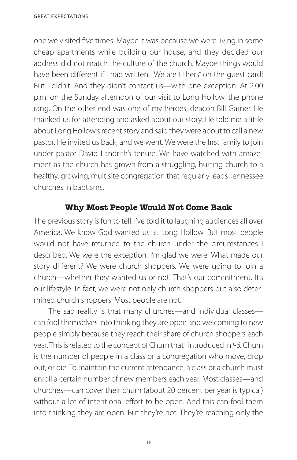one we visited five times! Maybe it was because we were living in some cheap apartments while building our house, and they decided our address did not match the culture of the church. Maybe things would have been different if I had written, "We are tithers" on the quest card! But I didn't. And they didn't contact us—with one exception. At 2:00 p.m. on the Sunday afternoon of our visit to Long Hollow, the phone rang. On the other end was one of my heroes, deacon Bill Garner. He thanked us for attending and asked about our story. He told me a little about Long Hollow's recent story and said they were about to call a new pastor. He invited us back, and we went. We were the first family to join under pastor David Landrith's tenure. We have watched with amazement as the church has grown from a struggling, hurting church to a healthy, growing, multisite congregation that regularly leads Tennessee churches in baptisms.

#### **Why Most People Would Not Come Back**

The previous story is fun to tell. I've told it to laughing audiences all over America. We know God wanted us at Long Hollow. But most people would not have returned to the church under the circumstances I described. We were the exception. I'm glad we were! What made our story different? We were church shoppers. We were going to join a church—whether they wanted us or not! That's our commitment. It's our lifestyle. In fact, we were not only church shoppers but also determined church shoppers. Most people are not.

The sad reality is that many churches—and individual classes can fool themselves into thinking they are open and welcoming to new people simply because they reach their share of church shoppers each year. This is related to the concept of Churn that I introduced in *I-6.* Churn is the number of people in a class or a congregation who move, drop out, or die. To maintain the current attendance, a class or a church must enroll a certain number of new members each year. Most classes—and churches—can cover their churn (about 20 percent per year is typical) without a lot of intentional effort to be open. And this can fool them into thinking they are open. But they're not. They're reaching only the

18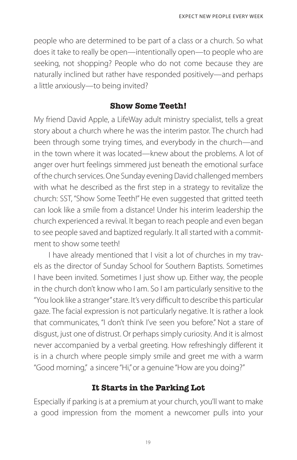people who are determined to be part of a class or a church. So what does it take to really be open—intentionally open—to people who are seeking, not shopping? People who do not come because they are naturally inclined but rather have responded positively—and perhaps a little anxiously—to being invited?

#### **Show Some Teeth!**

My friend David Apple, a LifeWay adult ministry specialist, tells a great story about a church where he was the interim pastor. The church had been through some trying times, and everybody in the church—and in the town where it was located—knew about the problems. A lot of anger over hurt feelings simmered just beneath the emotional surface of the church services. One Sunday evening David challenged members with what he described as the first step in a strategy to revitalize the church: SST, "Show Some Teeth!" He even suggested that gritted teeth can look like a smile from a distance! Under his interim leadership the church experienced a revival. It began to reach people and even began to see people saved and baptized regularly. It all started with a commitment to show some teeth!

I have already mentioned that I visit a lot of churches in my travels as the director of Sunday School for Southern Baptists. Sometimes I have been invited. Sometimes I just show up. Either way, the people in the church don't know who I am. So I am particularly sensitive to the "You look like a stranger" stare. It's very difficult to describe this particular gaze. The facial expression is not particularly negative. It is rather a look that communicates, "I don't think I've seen you before." Not a stare of disgust, just one of distrust. Or perhaps simply curiosity. And it is almost never accompanied by a verbal greeting. How refreshingly different it is in a church where people simply smile and greet me with a warm "Good morning," a sincere "Hi," or a genuine "How are you doing?"

#### **It Starts in the Parking Lot**

Especially if parking is at a premium at your church, you'll want to make a good impression from the moment a newcomer pulls into your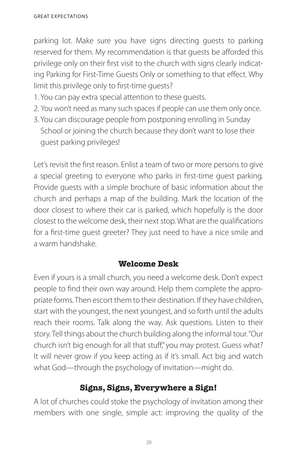parking lot. Make sure you have signs directing guests to parking reserved for them. My recommendation is that guests be afforded this privilege only on their first visit to the church with signs clearly indicating Parking for First-Time Guests Only or something to that effect. Why limit this privilege only to first-time guests?

- 1. You can pay extra special attention to these guests.
- 2. You won't need as many such spaces if people can use them only once.
- 3. You can discourage people from postponing enrolling in Sunday School or joining the church because they don't want to lose their guest parking privileges!

Let's revisit the first reason. Enlist a team of two or more persons to give a special greeting to everyone who parks in first-time guest parking. Provide guests with a simple brochure of basic information about the church and perhaps a map of the building. Mark the location of the door closest to where their car is parked, which hopefully is the door closest to the welcome desk, their next stop. What are the qualifications for a first-time guest greeter? They just need to have a nice smile and a warm handshake.

#### **Welcome Desk**

Even if yours is a small church, you need a welcome desk. Don't expect people to find their own way around. Help them complete the appropriate forms. Then escort them to their destination. If they have children, start with the youngest, the next youngest, and so forth until the adults reach their rooms. Talk along the way. Ask questions. Listen to their story. Tell things about the church building along the informal tour. "Our church isn't big enough for all that stuff," you may protest. Guess what? It will never grow if you keep acting as if it's small. Act big and watch what God—through the psychology of invitation—might do.

## **Signs, Signs, Everywhere a Sign!**

A lot of churches could stoke the psychology of invitation among their members with one single, simple act: improving the quality of the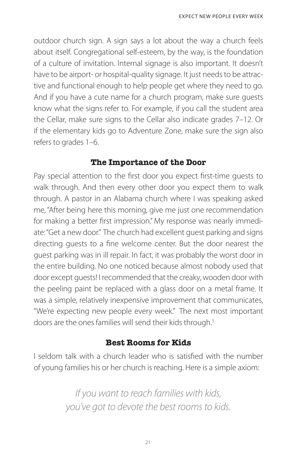outdoor church sign. A sign says a lot about the way a church feels about itself. Congregational self-esteem, by the way, is the foundation of a culture of invitation. Internal signage is also important. It doesn't have to be airport- or hospital-quality signage. It just needs to be attractive and functional enough to help people get where they need to go. And if you have a cute name for a church program, make sure guests know what the signs refer to. For example, if you call the student area the Cellar, make sure signs to the Cellar also indicate grades 7–12. Or if the elementary kids go to Adventure Zone, make sure the sign also refers to grades 1–6.

#### **The Importance of the Door**

Pay special attention to the first door you expect first-time guests to walk through. And then every other door you expect them to walk through. A pastor in an Alabama church where I was speaking asked me, "After being here this morning, give me just one recommendation for making a better first impression." My response was nearly immediate: "Get a new door." The church had excellent guest parking and signs directing guests to a fine welcome center. But the door nearest the guest parking was in ill repair. In fact, it was probably the worst door in the entire building. No one noticed because almost nobody used that door except guests! I recommended that the creaky, wooden door with the peeling paint be replaced with a glass door on a metal frame. It was a simple, relatively inexpensive improvement that communicates, "We're expecting new people every week." The next most important doors are the ones families will send their kids through.<sup>5</sup>

#### **Best Rooms for Kids**

I seldom talk with a church leader who is satisfied with the number of young families his or her church is reaching. Here is a simple axiom:

> *If you want to reach families with kids, you've got to devote the best rooms to kids.*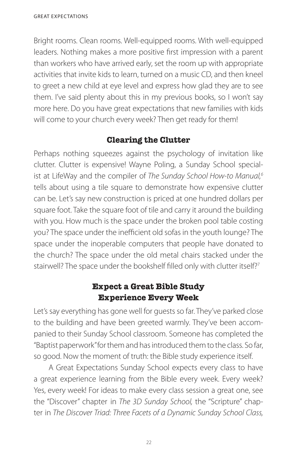Bright rooms. Clean rooms. Well-equipped rooms. With well-equipped leaders. Nothing makes a more positive first impression with a parent than workers who have arrived early, set the room up with appropriate activities that invite kids to learn, turned on a music CD, and then kneel to greet a new child at eye level and express how glad they are to see them. I've said plenty about this in my previous books, so I won't say more here. Do you have great expectations that new families with kids will come to your church every week? Then get ready for them!

## **Clearing the Clutter**

Perhaps nothing squeezes against the psychology of invitation like clutter. Clutter is expensive! Wayne Poling, a Sunday School specialist at LifeWay and the compiler of *The Sunday School How-to Manual,<sup>6</sup>* tells about using a tile square to demonstrate how expensive clutter can be. Let's say new construction is priced at one hundred dollars per square foot. Take the square foot of tile and carry it around the building with you. How much is the space under the broken pool table costing you? The space under the inefficient old sofas in the youth lounge? The space under the inoperable computers that people have donated to the church? The space under the old metal chairs stacked under the stairwell? The space under the bookshelf filled only with clutter itself?<sup>7</sup>

## **Expect a Great Bible Study Experience Every Week**

Let's say everything has gone well for guests so far. They've parked close to the building and have been greeted warmly. They've been accompanied to their Sunday School classroom. Someone has completed the "Baptist paperwork" for them and has introduced them to the class. So far, so good. Now the moment of truth: the Bible study experience itself.

A Great Expectations Sunday School expects every class to have a great experience learning from the Bible every week. Every week? Yes, every week! For ideas to make every class session a great one, see the "Discover" chapter in *The 3D Sunday School,* the "Scripture" chapter in *The Discover Triad: Three Facets of a Dynamic Sunday School Class,*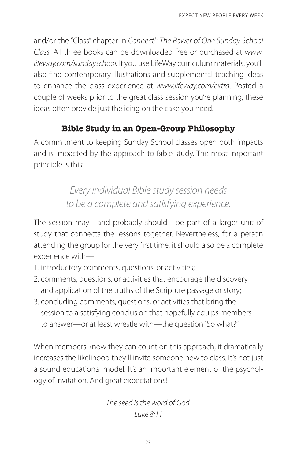and/or the "Class" chapter in *Connect<sup>3</sup> : The Power of One Sunday School Class.* All three books can be downloaded free or purchased at *www. lifeway.com/sundayschool.* If you use LifeWay curriculum materials, you'll also find contemporary illustrations and supplemental teaching ideas to enhance the class experience at *www.lifeway.com/extra*. Posted a couple of weeks prior to the great class session you're planning, these ideas often provide just the icing on the cake you need.

## **Bible Study in an Open-Group Philosophy**

A commitment to keeping Sunday School classes open both impacts and is impacted by the approach to Bible study. The most important principle is this:

> *Every individual Bible study session needs to be a complete and satisfying experience.*

The session may—and probably should—be part of a larger unit of study that connects the lessons together. Nevertheless, for a person attending the group for the very first time, it should also be a complete experience with—

- 1. introductory comments, questions, or activities;
- 2. comments, questions, or activities that encourage the discovery and application of the truths of the Scripture passage or story;
- 3. concluding comments, questions, or activities that bring the session to a satisfying conclusion that hopefully equips members to answer—or at least wrestle with—the question "So what?"

When members know they can count on this approach, it dramatically increases the likelihood they'll invite someone new to class. It's not just a sound educational model. It's an important element of the psychology of invitation. And great expectations!

> *The seed is the word of God. Luke 8:11*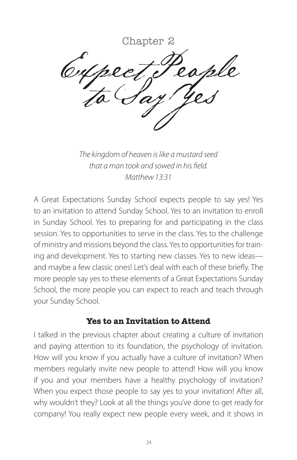Chapter 2 Cupect People

*The kingdom of heaven is like a mustard seed that a man took and sowed in his field. Matthew 13:31*

A Great Expectations Sunday School expects people to say yes! Yes to an invitation to attend Sunday School. Yes to an invitation to enroll in Sunday School. Yes to preparing for and participating in the class session. Yes to opportunities to serve in the class. Yes to the challenge of ministry and missions beyond the class. Yes to opportunities for training and development. Yes to starting new classes. Yes to new ideas and maybe a few classic ones! Let's deal with each of these briefly. The more people say yes to these elements of a Great Expectations Sunday School, the more people you can expect to reach and teach through your Sunday School.

#### **Yes to an Invitation to Attend**

I talked in the previous chapter about creating a culture of invitation and paying attention to its foundation, the psychology of invitation. How will you know if you actually have a culture of invitation? When members regularly invite new people to attend! How will you know if you and your members have a healthy psychology of invitation? When you expect those people to say yes to your invitation! After all, why wouldn't they? Look at all the things you've done to get ready for company! You really expect new people every week, and it shows in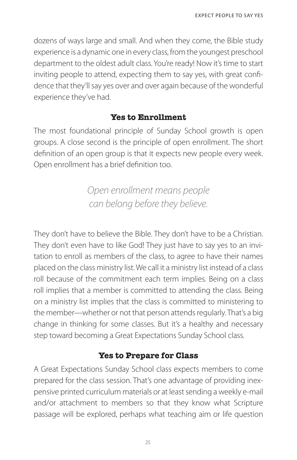dozens of ways large and small. And when they come, the Bible study experience is a dynamic one in every class, from the youngest preschool department to the oldest adult class. You're ready! Now it's time to start inviting people to attend, expecting them to say yes, with great confidence that they'll say yes over and over again because of the wonderful experience they've had.

#### **Yes to Enrollment**

The most foundational principle of Sunday School growth is open groups. A close second is the principle of open enrollment. The short definition of an open group is that it expects new people every week. Open enrollment has a brief definition too.

> *Open enrollment means people can belong before they believe.*

They don't have to believe the Bible. They don't have to be a Christian. They don't even have to like God! They just have to say yes to an invitation to enroll as members of the class, to agree to have their names placed on the class ministry list. We call it a ministry list instead of a class roll because of the commitment each term implies. Being on a class roll implies that a member is committed to attending the class. Being on a ministry list implies that the class is committed to ministering to the member—whether or not that person attends regularly. That's a big change in thinking for some classes. But it's a healthy and necessary step toward becoming a Great Expectations Sunday School class.

## **Yes to Prepare for Class**

A Great Expectations Sunday School class expects members to come prepared for the class session. That's one advantage of providing inexpensive printed curriculum materials or at least sending a weekly e-mail and/or attachment to members so that they know what Scripture passage will be explored, perhaps what teaching aim or life question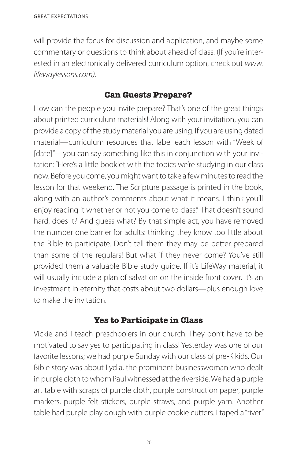will provide the focus for discussion and application, and maybe some commentary or questions to think about ahead of class. (If you're interested in an electronically delivered curriculum option, check out *www. lifewaylessons.com).*

### **Can Guests Prepare?**

How can the people you invite prepare? That's one of the great things about printed curriculum materials! Along with your invitation, you can provide a copy of the study material you are using. If you are using dated material—curriculum resources that label each lesson with "Week of [date]"—you can say something like this in conjunction with your invitation: "Here's a little booklet with the topics we're studying in our class now. Before you come, you might want to take a few minutes to read the lesson for that weekend. The Scripture passage is printed in the book, along with an author's comments about what it means. I think you'll enjoy reading it whether or not you come to class." That doesn't sound hard, does it? And guess what? By that simple act, you have removed the number one barrier for adults: thinking they know too little about the Bible to participate. Don't tell them they may be better prepared than some of the regulars! But what if they never come? You've still provided them a valuable Bible study guide. If it's LifeWay material, it will usually include a plan of salvation on the inside front cover. It's an investment in eternity that costs about two dollars—plus enough love to make the invitation.

## **Yes to Participate in Class**

Vickie and I teach preschoolers in our church. They don't have to be motivated to say yes to participating in class! Yesterday was one of our favorite lessons; we had purple Sunday with our class of pre-K kids. Our Bible story was about Lydia, the prominent businesswoman who dealt in purple cloth to whom Paul witnessed at the riverside. We had a purple art table with scraps of purple cloth, purple construction paper, purple markers, purple felt stickers, purple straws, and purple yarn. Another table had purple play dough with purple cookie cutters. I taped a "river"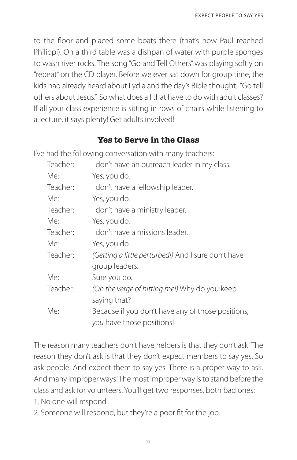to the floor and placed some boats there (that's how Paul reached Philippi). On a third table was a dishpan of water with purple sponges to wash river rocks. The song "Go and Tell Others" was playing softly on "repeat" on the CD player. Before we ever sat down for group time, the kids had already heard about Lydia and the day's Bible thought: "Go tell others about Jesus." So what does all that have to do with adult classes? If all your class experience is sitting in rows of chairs while listening to a lecture, it says plenty! Get adults involved!

### **Yes to Serve in the Class**

I've had the following conversation with many teachers:

| Teacher: | I don't have an outreach leader in my class.        |  |
|----------|-----------------------------------------------------|--|
| Me:      | Yes, you do.                                        |  |
| Teacher: | I don't have a fellowship leader.                   |  |
| Me:      | Yes, you do.                                        |  |
| Teacher: | I don't have a ministry leader.                     |  |
| Me:      | Yes, you do.                                        |  |
| Teacher: | I don't have a missions leader.                     |  |
| Me:      | Yes, you do.                                        |  |
| Teacher: | (Getting a little perturbed!) And I sure don't have |  |
|          | group leaders.                                      |  |
| Me:      | Sure you do.                                        |  |
| Teacher: | (On the verge of hitting me!) Why do you keep       |  |
|          | saying that?                                        |  |
| Me:      | Because if you don't have any of those positions,   |  |
|          | you have those positions!                           |  |

The reason many teachers don't have helpers is that they don't ask. The reason they don't ask is that they don't expect members to say yes. So ask people. And expect them to say yes. There is a proper way to ask. And many improper ways! The most improper way is to stand before the class and ask for volunteers. You'll get two responses, both bad ones: 1. No one will respond.

2. Someone will respond, but they're a poor fit for the job.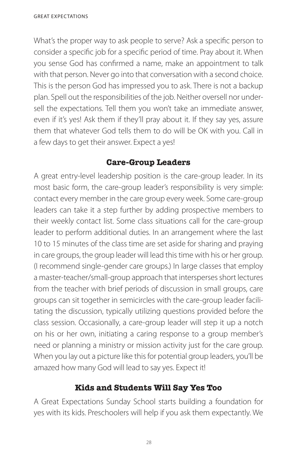What's the proper way to ask people to serve? Ask a specific person to consider a specific job for a specific period of time. Pray about it. When you sense God has confirmed a name, make an appointment to talk with that person. Never go into that conversation with a second choice. This is the person God has impressed you to ask. There is not a backup plan. Spell out the responsibilities of the job. Neither oversell nor undersell the expectations. Tell them you won't take an immediate answer, even if it's yes! Ask them if they'll pray about it. If they say yes, assure them that whatever God tells them to do will be OK with you. Call in a few days to get their answer. Expect a yes!

## **Care-Group Leaders**

A great entry-level leadership position is the care-group leader. In its most basic form, the care-group leader's responsibility is very simple: contact every member in the care group every week. Some care-group leaders can take it a step further by adding prospective members to their weekly contact list. Some class situations call for the care-group leader to perform additional duties. In an arrangement where the last 10 to 15 minutes of the class time are set aside for sharing and praying in care groups, the group leader will lead this time with his or her group. (I recommend single-gender care groups.) In large classes that employ a master-teacher/small-group approach that intersperses short lectures from the teacher with brief periods of discussion in small groups, care groups can sit together in semicircles with the care-group leader facilitating the discussion, typically utilizing questions provided before the class session. Occasionally, a care-group leader will step it up a notch on his or her own, initiating a caring response to a group member's need or planning a ministry or mission activity just for the care group. When you lay out a picture like this for potential group leaders, you'll be amazed how many God will lead to say yes. Expect it!

## **Kids and Students Will Say Yes Too**

A Great Expectations Sunday School starts building a foundation for yes with its kids. Preschoolers will help if you ask them expectantly. We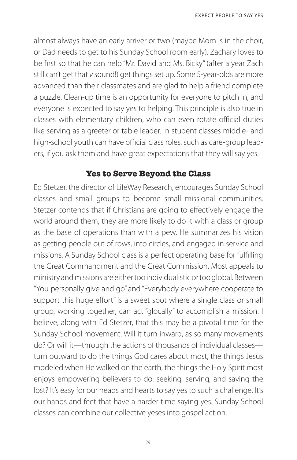almost always have an early arriver or two (maybe Mom is in the choir, or Dad needs to get to his Sunday School room early). Zachary loves to be first so that he can help "Mr. David and Ms. Bicky" (after a year Zach still can't get that *v* sound!) get things set up. Some 5-year-olds are more advanced than their classmates and are glad to help a friend complete a puzzle. Clean-up time is an opportunity for everyone to pitch in, and everyone is expected to say yes to helping. This principle is also true in classes with elementary children, who can even rotate official duties like serving as a greeter or table leader. In student classes middle- and high-school youth can have official class roles, such as care-group leaders, if you ask them and have great expectations that they will say yes.

#### **Yes to Serve Beyond the Class**

Ed Stetzer, the director of LifeWay Research, encourages Sunday School classes and small groups to become small missional communities. Stetzer contends that if Christians are going to effectively engage the world around them, they are more likely to do it with a class or group as the base of operations than with a pew. He summarizes his vision as getting people out of rows, into circles, and engaged in service and missions. A Sunday School class is a perfect operating base for fulfilling the Great Commandment and the Great Commission. Most appeals to ministry and missions are either too individualistic or too global. Between "You personally give and go" and "Everybody everywhere cooperate to support this huge effort" is a sweet spot where a single class or small group, working together, can act "glocally" to accomplish a mission. I believe, along with Ed Stetzer, that this may be a pivotal time for the Sunday School movement. Will it turn inward, as so many movements do? Or will it—through the actions of thousands of individual classes turn outward to do the things God cares about most, the things Jesus modeled when He walked on the earth, the things the Holy Spirit most enjoys empowering believers to do: seeking, serving, and saving the lost? It's easy for our heads and hearts to say yes to such a challenge. It's our hands and feet that have a harder time saying yes. Sunday School classes can combine our collective yeses into gospel action.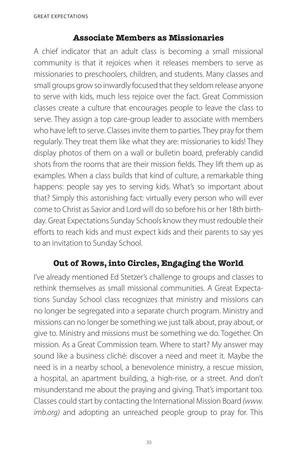#### **Associate Members as Missionaries**

A chief indicator that an adult class is becoming a small missional community is that it rejoices when it releases members to serve as missionaries to preschoolers, children, and students. Many classes and small groups grow so inwardly focused that they seldom release anyone to serve with kids, much less rejoice over the fact. Great Commission classes create a culture that encourages people to leave the class to serve. They assign a top care-group leader to associate with members who have left to serve. Classes invite them to parties. They pray for them regularly. They treat them like what they are: missionaries to kids! They display photos of them on a wall or bulletin board, preferably candid shots from the rooms that are their mission fields. They lift them up as examples. When a class builds that kind of culture, a remarkable thing happens: people say yes to serving kids. What's so important about that? Simply this astonishing fact: virtually every person who will ever come to Christ as Savior and Lord will do so before his or her 18th birthday. Great Expectations Sunday Schools know they must redouble their efforts to reach kids and must expect kids and their parents to say yes to an invitation to Sunday School.

## **Out of Rows, into Circles, Engaging the World**

I've already mentioned Ed Stetzer's challenge to groups and classes to rethink themselves as small missional communities. A Great Expectations Sunday School class recognizes that ministry and missions can no longer be segregated into a separate church program. Ministry and missions can no longer be something we just talk about, pray about, or give to. Ministry and missions must be something we do. Together. On mission. As a Great Commission team. Where to start? My answer may sound like a business cliché: discover a need and meet it. Maybe the need is in a nearby school, a benevolence ministry, a rescue mission, a hospital, an apartment building, a high-rise, or a street. And don't misunderstand me about the praying and giving. That's important too. Classes could start by contacting the International Mission Board *(www. imb.org)* and adopting an unreached people group to pray for. This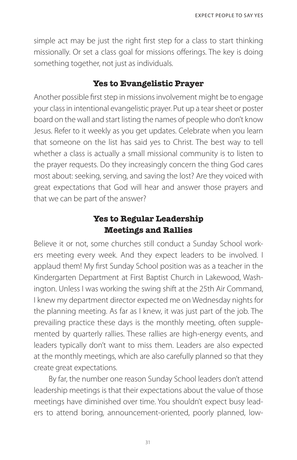simple act may be just the right first step for a class to start thinking missionally. Or set a class goal for missions offerings. The key is doing something together, not just as individuals.

#### **Yes to Evangelistic Prayer**

Another possible first step in missions involvement might be to engage your class in intentional evangelistic prayer. Put up a tear sheet or poster board on the wall and start listing the names of people who don't know Jesus. Refer to it weekly as you get updates. Celebrate when you learn that someone on the list has said yes to Christ. The best way to tell whether a class is actually a small missional community is to listen to the prayer requests. Do they increasingly concern the thing God cares most about: seeking, serving, and saving the lost? Are they voiced with great expectations that God will hear and answer those prayers and that we can be part of the answer?

## **Yes to Regular Leadership Meetings and Rallies**

Believe it or not, some churches still conduct a Sunday School workers meeting every week. And they expect leaders to be involved. I applaud them! My first Sunday School position was as a teacher in the Kindergarten Department at First Baptist Church in Lakewood, Washington. Unless I was working the swing shift at the 25th Air Command, I knew my department director expected me on Wednesday nights for the planning meeting. As far as I knew, it was just part of the job. The prevailing practice these days is the monthly meeting, often supplemented by quarterly rallies. These rallies are high-energy events, and leaders typically don't want to miss them. Leaders are also expected at the monthly meetings, which are also carefully planned so that they create great expectations.

By far, the number one reason Sunday School leaders don't attend leadership meetings is that their expectations about the value of those meetings have diminished over time. You shouldn't expect busy leaders to attend boring, announcement-oriented, poorly planned, low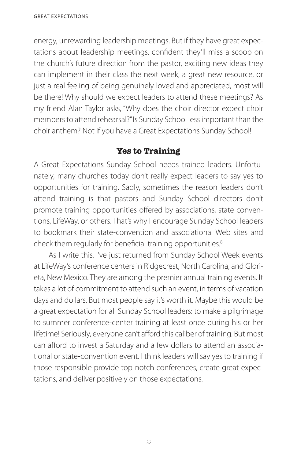energy, unrewarding leadership meetings. But if they have great expectations about leadership meetings, confident they'll miss a scoop on the church's future direction from the pastor, exciting new ideas they can implement in their class the next week, a great new resource, or just a real feeling of being genuinely loved and appreciated, most will be there! Why should we expect leaders to attend these meetings? As my friend Alan Taylor asks, "Why does the choir director expect choir members to attend rehearsal?" Is Sunday School less important than the choir anthem? Not if you have a Great Expectations Sunday School!

## **Yes to Training**

A Great Expectations Sunday School needs trained leaders. Unfortunately, many churches today don't really expect leaders to say yes to opportunities for training. Sadly, sometimes the reason leaders don't attend training is that pastors and Sunday School directors don't promote training opportunities offered by associations, state conventions, LifeWay, or others. That's why I encourage Sunday School leaders to bookmark their state-convention and associational Web sites and check them regularly for beneficial training opportunities.<sup>8</sup>

As I write this, I've just returned from Sunday School Week events at LifeWay's conference centers in Ridgecrest, North Carolina, and Glorieta, New Mexico. They are among the premier annual training events. It takes a lot of commitment to attend such an event, in terms of vacation days and dollars. But most people say it's worth it. Maybe this would be a great expectation for all Sunday School leaders: to make a pilgrimage to summer conference-center training at least once during his or her lifetime! Seriously, everyone can't afford this caliber of training. But most can afford to invest a Saturday and a few dollars to attend an associational or state-convention event. I think leaders will say yes to training if those responsible provide top-notch conferences, create great expectations, and deliver positively on those expectations.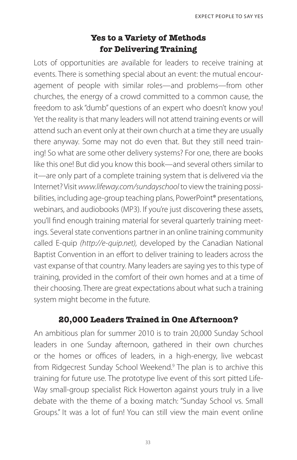## **Yes to a Variety of Methods for Delivering Training**

Lots of opportunities are available for leaders to receive training at events. There is something special about an event: the mutual encouragement of people with similar roles—and problems—from other churches, the energy of a crowd committed to a common cause, the freedom to ask "dumb" questions of an expert who doesn't know you! Yet the reality is that many leaders will not attend training events or will attend such an event only at their own church at a time they are usually there anyway. Some may not do even that. But they still need training! So what are some other delivery systems? For one, there are books like this one! But did you know this book—and several others similar to it—are only part of a complete training system that is delivered via the Internet? Visit *www.lifeway.com/sundayschool* to view the training possibilities, including age-group teaching plans, PowerPoint® presentations, webinars, and audiobooks (MP3). If you're just discovering these assets, you'll find enough training material for several quarterly training meetings. Several state conventions partner in an online training community called E-quip *(http://e-quip.net),* developed by the Canadian National Baptist Convention in an effort to deliver training to leaders across the vast expanse of that country. Many leaders are saying yes to this type of training, provided in the comfort of their own homes and at a time of their choosing. There are great expectations about what such a training system might become in the future.

## **20,000 Leaders Trained in One Afternoon?**

An ambitious plan for summer 2010 is to train 20,000 Sunday School leaders in one Sunday afternoon, gathered in their own churches or the homes or offices of leaders, in a high-energy, live webcast from Ridgecrest Sunday School Weekend.<sup>9</sup> The plan is to archive this training for future use. The prototype live event of this sort pitted Life-Way small-group specialist Rick Howerton against yours truly in a live debate with the theme of a boxing match: "Sunday School vs. Small Groups." It was a lot of fun! You can still view the main event online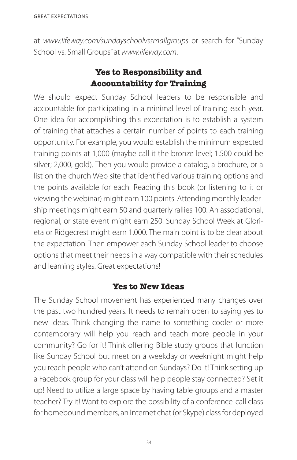at *www.lifeway.com/sundayschoolvssmallgroups* or search for "Sunday School vs. Small Groups" at *www.lifeway.com*.

## **Yes to Responsibility and Accountability for Training**

We should expect Sunday School leaders to be responsible and accountable for participating in a minimal level of training each year. One idea for accomplishing this expectation is to establish a system of training that attaches a certain number of points to each training opportunity. For example, you would establish the minimum expected training points at 1,000 (maybe call it the bronze level; 1,500 could be silver; 2,000, gold). Then you would provide a catalog, a brochure, or a list on the church Web site that identified various training options and the points available for each. Reading this book (or listening to it or viewing the webinar) might earn 100 points. Attending monthly leadership meetings might earn 50 and quarterly rallies 100. An associational, regional, or state event might earn 250. Sunday School Week at Glorieta or Ridgecrest might earn 1,000. The main point is to be clear about the expectation. Then empower each Sunday School leader to choose options that meet their needs in a way compatible with their schedules and learning styles. Great expectations!

#### **Yes to New Ideas**

The Sunday School movement has experienced many changes over the past two hundred years. It needs to remain open to saying yes to new ideas. Think changing the name to something cooler or more contemporary will help you reach and teach more people in your community? Go for it! Think offering Bible study groups that function like Sunday School but meet on a weekday or weeknight might help you reach people who can't attend on Sundays? Do it! Think setting up a Facebook group for your class will help people stay connected? Set it up! Need to utilize a large space by having table groups and a master teacher? Try it! Want to explore the possibility of a conference-call class for homebound members, an Internet chat (or Skype) class for deployed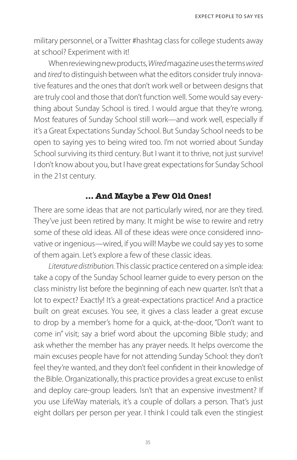military personnel, or a Twitter #hashtag class for college students away at school? Experiment with it!

When reviewing new products, *Wired* magazine uses the terms *wired* and *tired* to distinguish between what the editors consider truly innovative features and the ones that don't work well or between designs that are truly cool and those that don't function well. Some would say everything about Sunday School is tired. I would argue that they're wrong. Most features of Sunday School still work—and work well, especially if it's a Great Expectations Sunday School. But Sunday School needs to be open to saying yes to being wired too. I'm not worried about Sunday School surviving its third century. But I want it to thrive, not just survive! I don't know about you, but I have great expectations for Sunday School in the 21st century.

#### **… And Maybe a Few Old Ones!**

There are some ideas that are not particularly wired, nor are they tired. They've just been retired by many. It might be wise to rewire and retry some of these old ideas. All of these ideas were once considered innovative or ingenious—wired, if you will! Maybe we could say yes to some of them again. Let's explore a few of these classic ideas.

*Literature distribution.* This classic practice centered on a simple idea: take a copy of the Sunday School learner guide to every person on the class ministry list before the beginning of each new quarter. Isn't that a lot to expect? Exactly! It's a great-expectations practice! And a practice built on great excuses. You see, it gives a class leader a great excuse to drop by a member's home for a quick, at-the-door, "Don't want to come in" visit; say a brief word about the upcoming Bible study; and ask whether the member has any prayer needs. It helps overcome the main excuses people have for not attending Sunday School: they don't feel they're wanted, and they don't feel confident in their knowledge of the Bible. Organizationally, this practice provides a great excuse to enlist and deploy care-group leaders. Isn't that an expensive investment? If you use LifeWay materials, it's a couple of dollars a person. That's just eight dollars per person per year. I think I could talk even the stingiest

35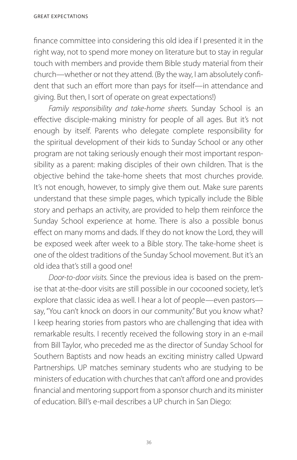finance committee into considering this old idea if I presented it in the right way, not to spend more money on literature but to stay in regular touch with members and provide them Bible study material from their church—whether or not they attend. (By the way, I am absolutely confident that such an effort more than pays for itself—in attendance and giving. But then, I sort of operate on great expectations!)

*Family responsibility and take-home sheets.* Sunday School is an effective disciple-making ministry for people of all ages. But it's not enough by itself. Parents who delegate complete responsibility for the spiritual development of their kids to Sunday School or any other program are not taking seriously enough their most important responsibility as a parent: making disciples of their own children. That is the objective behind the take-home sheets that most churches provide. It's not enough, however, to simply give them out. Make sure parents understand that these simple pages, which typically include the Bible story and perhaps an activity, are provided to help them reinforce the Sunday School experience at home. There is also a possible bonus effect on many moms and dads. If they do not know the Lord, they will be exposed week after week to a Bible story. The take-home sheet is one of the oldest traditions of the Sunday School movement. But it's an old idea that's still a good one!

*Door-to-door visits.* Since the previous idea is based on the premise that at-the-door visits are still possible in our cocooned society, let's explore that classic idea as well. I hear a lot of people—even pastors say, "You can't knock on doors in our community." But you know what? I keep hearing stories from pastors who are challenging that idea with remarkable results. I recently received the following story in an e-mail from Bill Taylor, who preceded me as the director of Sunday School for Southern Baptists and now heads an exciting ministry called Upward Partnerships. UP matches seminary students who are studying to be ministers of education with churches that can't afford one and provides financial and mentoring support from a sponsor church and its minister of education. Bill's e-mail describes a UP church in San Diego: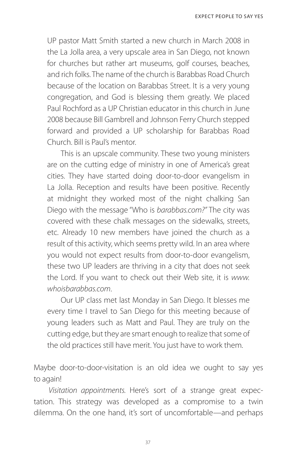UP pastor Matt Smith started a new church in March 2008 in the La Jolla area, a very upscale area in San Diego, not known for churches but rather art museums, golf courses, beaches, and rich folks. The name of the church is Barabbas Road Church because of the location on Barabbas Street. It is a very young congregation, and God is blessing them greatly. We placed Paul Rochford as a UP Christian educator in this church in June 2008 because Bill Gambrell and Johnson Ferry Church stepped forward and provided a UP scholarship for Barabbas Road Church. Bill is Paul's mentor.

 This is an upscale community. These two young ministers are on the cutting edge of ministry in one of America's great cities. They have started doing door-to-door evangelism in La Jolla. Reception and results have been positive. Recently at midnight they worked most of the night chalking San Diego with the message "Who is *barabbas.com?"* The city was covered with these chalk messages on the sidewalks, streets, etc. Already 10 new members have joined the church as a result of this activity, which seems pretty wild. In an area where you would not expect results from door-to-door evangelism, these two UP leaders are thriving in a city that does not seek the Lord. If you want to check out their Web site, it is *www. whoisbarabbas.com*.

 Our UP class met last Monday in San Diego. It blesses me every time I travel to San Diego for this meeting because of young leaders such as Matt and Paul. They are truly on the cutting edge, but they are smart enough to realize that some of the old practices still have merit. You just have to work them.

Maybe door-to-door-visitation is an old idea we ought to say yes to again!

*Visitation appointments.* Here's sort of a strange great expectation. This strategy was developed as a compromise to a twin dilemma. On the one hand, it's sort of uncomfortable—and perhaps

37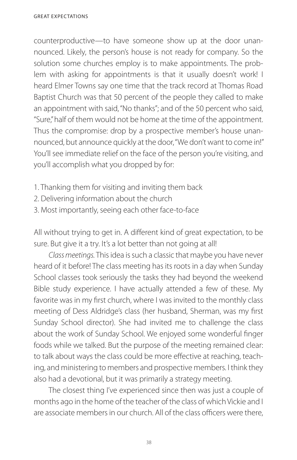counterproductive—to have someone show up at the door unannounced. Likely, the person's house is not ready for company. So the solution some churches employ is to make appointments. The problem with asking for appointments is that it usually doesn't work! I heard Elmer Towns say one time that the track record at Thomas Road Baptist Church was that 50 percent of the people they called to make an appointment with said, "No thanks"; and of the 50 percent who said, "Sure," half of them would not be home at the time of the appointment. Thus the compromise: drop by a prospective member's house unannounced, but announce quickly at the door, "We don't want to come in!" You'll see immediate relief on the face of the person you're visiting, and you'll accomplish what you dropped by for:

- 1. Thanking them for visiting and inviting them back
- 2. Delivering information about the church
- 3. Most importantly, seeing each other face-to-face

All without trying to get in. A different kind of great expectation, to be sure. But give it a try. It's a lot better than not going at all!

*Class meetings.* This idea is such a classic that maybe you have never heard of it before! The class meeting has its roots in a day when Sunday School classes took seriously the tasks they had beyond the weekend Bible study experience. I have actually attended a few of these. My favorite was in my first church, where I was invited to the monthly class meeting of Dess Aldridge's class (her husband, Sherman, was my first Sunday School director). She had invited me to challenge the class about the work of Sunday School. We enjoyed some wonderful finger foods while we talked. But the purpose of the meeting remained clear: to talk about ways the class could be more effective at reaching, teaching, and ministering to members and prospective members. I think they also had a devotional, but it was primarily a strategy meeting.

The closest thing I've experienced since then was just a couple of months ago in the home of the teacher of the class of which Vickie and I are associate members in our church. All of the class officers were there,

38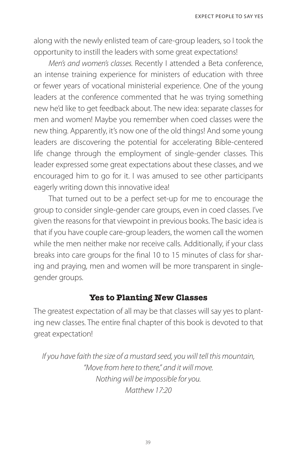along with the newly enlisted team of care-group leaders, so I took the opportunity to instill the leaders with some great expectations!

*Men's and women's classes.* Recently I attended a Beta conference, an intense training experience for ministers of education with three or fewer years of vocational ministerial experience. One of the young leaders at the conference commented that he was trying something new he'd like to get feedback about. The new idea: separate classes for men and women! Maybe you remember when coed classes were the new thing. Apparently, it's now one of the old things! And some young leaders are discovering the potential for accelerating Bible-centered life change through the employment of single-gender classes. This leader expressed some great expectations about these classes, and we encouraged him to go for it. I was amused to see other participants eagerly writing down this innovative idea!

That turned out to be a perfect set-up for me to encourage the group to consider single-gender care groups, even in coed classes. I've given the reasons for that viewpoint in previous books. The basic idea is that if you have couple care-group leaders, the women call the women while the men neither make nor receive calls. Additionally, if your class breaks into care groups for the final 10 to 15 minutes of class for sharing and praying, men and women will be more transparent in singlegender groups.

#### **Yes to Planting New Classes**

The greatest expectation of all may be that classes will say yes to planting new classes. The entire final chapter of this book is devoted to that great expectation!

*If you have faith the size of a mustard seed, you will tell this mountain, "Move from here to there," and it will move. Nothing will be impossible for you. Matthew 17:20*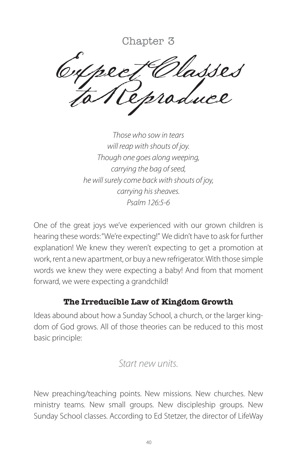Chapter 3

asses to Reproduce

*Those who sow in tears will reap with shouts of joy. Though one goes along weeping, carrying the bag of seed, he will surely come back with shouts of joy, carrying his sheaves. Psalm 126:5-6*

One of the great joys we've experienced with our grown children is hearing these words: "We're expecting!" We didn't have to ask for further explanation! We knew they weren't expecting to get a promotion at work, rent a new apartment, or buy a new refrigerator. With those simple words we knew they were expecting a baby! And from that moment forward, we were expecting a grandchild!

## **The Irreducible Law of Kingdom Growth**

Ideas abound about how a Sunday School, a church, or the larger kingdom of God grows. All of those theories can be reduced to this most basic principle:

## *Start new units.*

New preaching/teaching points. New missions. New churches. New ministry teams. New small groups. New discipleship groups. New Sunday School classes. According to Ed Stetzer, the director of LifeWay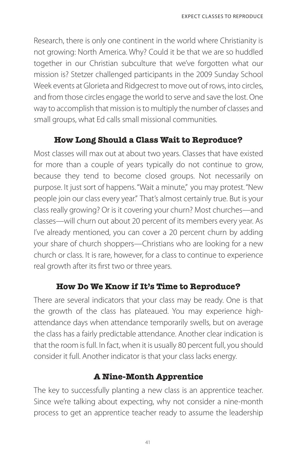Research, there is only one continent in the world where Christianity is not growing: North America. Why? Could it be that we are so huddled together in our Christian subculture that we've forgotten what our mission is? Stetzer challenged participants in the 2009 Sunday School Week events at Glorieta and Ridgecrest to move out of rows, into circles, and from those circles engage the world to serve and save the lost. One way to accomplish that mission is to multiply the number of classes and small groups, what Ed calls small missional communities.

## **How Long Should a Class Wait to Reproduce?**

Most classes will max out at about two years. Classes that have existed for more than a couple of years typically do not continue to grow, because they tend to become closed groups. Not necessarily on purpose. It just sort of happens. "Wait a minute," you may protest. "New people join our class every year." That's almost certainly true. But is your class really growing? Or is it covering your churn? Most churches—and classes—will churn out about 20 percent of its members every year. As I've already mentioned, you can cover a 20 percent churn by adding your share of church shoppers—Christians who are looking for a new church or class. It is rare, however, for a class to continue to experience real growth after its first two or three years.

#### **How Do We Know if It's Time to Reproduce?**

There are several indicators that your class may be ready. One is that the growth of the class has plateaued. You may experience highattendance days when attendance temporarily swells, but on average the class has a fairly predictable attendance. Another clear indication is that the room is full. In fact, when it is usually 80 percent full, you should consider it full. Another indicator is that your class lacks energy.

## **A Nine-Month Apprentice**

The key to successfully planting a new class is an apprentice teacher. Since we're talking about expecting, why not consider a nine-month process to get an apprentice teacher ready to assume the leadership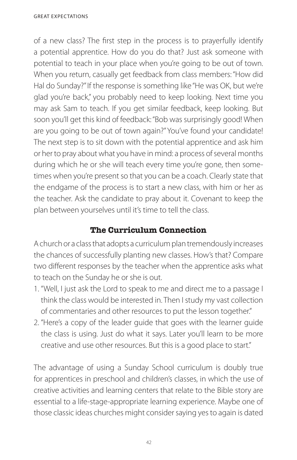of a new class? The first step in the process is to prayerfully identify a potential apprentice. How do you do that? Just ask someone with potential to teach in your place when you're going to be out of town. When you return, casually get feedback from class members: "How did Hal do Sunday?" If the response is something like "He was OK, but we're glad you're back," you probably need to keep looking. Next time you may ask Sam to teach. If you get similar feedback, keep looking. But soon you'll get this kind of feedback: "Bob was surprisingly good! When are you going to be out of town again?" You've found your candidate! The next step is to sit down with the potential apprentice and ask him or her to pray about what you have in mind: a process of several months during which he or she will teach every time you're gone, then sometimes when you're present so that you can be a coach. Clearly state that the endgame of the process is to start a new class, with him or her as the teacher. Ask the candidate to pray about it. Covenant to keep the plan between yourselves until it's time to tell the class.

## **The Curriculum Connection**

A church or a class that adopts a curriculum plan tremendously increases the chances of successfully planting new classes. How's that? Compare two different responses by the teacher when the apprentice asks what to teach on the Sunday he or she is out.

- 1. "Well, I just ask the Lord to speak to me and direct me to a passage I think the class would be interested in. Then I study my vast collection of commentaries and other resources to put the lesson together."
- 2. "Here's a copy of the leader guide that goes with the learner guide the class is using. Just do what it says. Later you'll learn to be more creative and use other resources. But this is a good place to start."

The advantage of using a Sunday School curriculum is doubly true for apprentices in preschool and children's classes, in which the use of creative activities and learning centers that relate to the Bible story are essential to a life-stage-appropriate learning experience. Maybe one of those classic ideas churches might consider saying yes to again is dated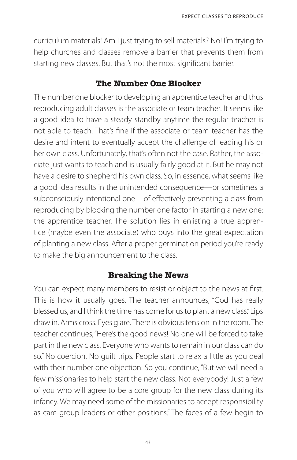curriculum materials! Am I just trying to sell materials? No! I'm trying to help churches and classes remove a barrier that prevents them from starting new classes. But that's not the most significant barrier.

#### **The Number One Blocker**

The number one blocker to developing an apprentice teacher and thus reproducing adult classes is the associate or team teacher. It seems like a good idea to have a steady standby anytime the regular teacher is not able to teach. That's fine if the associate or team teacher has the desire and intent to eventually accept the challenge of leading his or her own class. Unfortunately, that's often not the case. Rather, the associate just wants to teach and is usually fairly good at it. But he may not have a desire to shepherd his own class. So, in essence, what seems like a good idea results in the unintended consequence—or sometimes a subconsciously intentional one—of effectively preventing a class from reproducing by blocking the number one factor in starting a new one: the apprentice teacher. The solution lies in enlisting a true apprentice (maybe even the associate) who buys into the great expectation of planting a new class. After a proper germination period you're ready to make the big announcement to the class.

## **Breaking the News**

You can expect many members to resist or object to the news at first. This is how it usually goes. The teacher announces, "God has really blessed us, and I think the time has come for us to plant a new class." Lips draw in. Arms cross. Eyes glare. There is obvious tension in the room. The teacher continues, "Here's the good news! No one will be forced to take part in the new class. Everyone who wants to remain in our class can do so." No coercion. No guilt trips. People start to relax a little as you deal with their number one objection. So you continue, "But we will need a few missionaries to help start the new class. Not everybody! Just a few of you who will agree to be a core group for the new class during its infancy. We may need some of the missionaries to accept responsibility as care-group leaders or other positions." The faces of a few begin to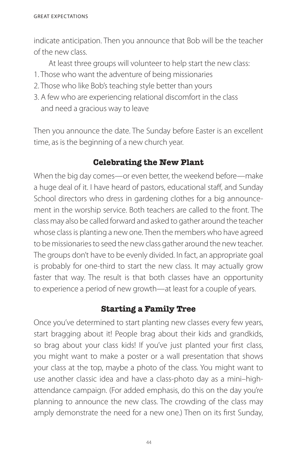indicate anticipation. Then you announce that Bob will be the teacher of the new class.

At least three groups will volunteer to help start the new class:

- 1. Those who want the adventure of being missionaries
- 2. Those who like Bob's teaching style better than yours
- 3. A few who are experiencing relational discomfort in the class and need a gracious way to leave

Then you announce the date. The Sunday before Easter is an excellent time, as is the beginning of a new church year.

## **Celebrating the New Plant**

When the big day comes—or even better, the weekend before—make a huge deal of it. I have heard of pastors, educational staff, and Sunday School directors who dress in gardening clothes for a big announcement in the worship service. Both teachers are called to the front. The class may also be called forward and asked to gather around the teacher whose class is planting a new one. Then the members who have agreed to be missionaries to seed the new class gather around the new teacher. The groups don't have to be evenly divided. In fact, an appropriate goal is probably for one-third to start the new class. It may actually grow faster that way. The result is that both classes have an opportunity to experience a period of new growth—at least for a couple of years.

#### **Starting a Family Tree**

Once you've determined to start planting new classes every few years, start bragging about it! People brag about their kids and grandkids, so brag about your class kids! If you've just planted your first class, you might want to make a poster or a wall presentation that shows your class at the top, maybe a photo of the class. You might want to use another classic idea and have a class-photo day as a mini–highattendance campaign. (For added emphasis, do this on the day you're planning to announce the new class. The crowding of the class may amply demonstrate the need for a new one.) Then on its first Sunday,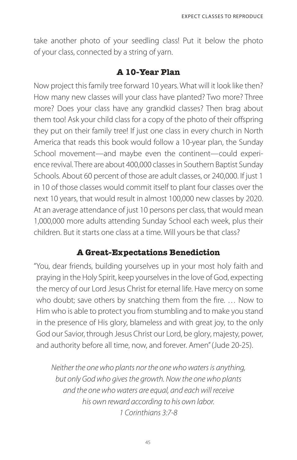take another photo of your seedling class! Put it below the photo of your class, connected by a string of yarn.

#### **A 10-Year Plan**

Now project this family tree forward 10 years. What will it look like then? How many new classes will your class have planted? Two more? Three more? Does your class have any grandkid classes? Then brag about them too! Ask your child class for a copy of the photo of their offspring they put on their family tree! If just one class in every church in North America that reads this book would follow a 10-year plan, the Sunday School movement—and maybe even the continent—could experience revival. There are about 400,000 classes in Southern Baptist Sunday Schools. About 60 percent of those are adult classes, or 240,000. If just 1 in 10 of those classes would commit itself to plant four classes over the next 10 years, that would result in almost 100,000 new classes by 2020. At an average attendance of just 10 persons per class, that would mean 1,000,000 more adults attending Sunday School each week, plus their children. But it starts one class at a time. Will yours be that class?

#### **A Great-Expectations Benediction**

" You, dear friends, building yourselves up in your most holy faith and praying in the Holy Spirit, keep yourselves in the love of God, expecting the mercy of our Lord Jesus Christ for eternal life. Have mercy on some who doubt; save others by snatching them from the fire. … Now to Him who is able to protect you from stumbling and to make you stand in the presence of His glory, blameless and with great joy, to the only God our Savior, through Jesus Christ our Lord, be glory, majesty, power, and authority before all time, now, and forever. Amen" (Jude 20-25).

*Neither the one who plants nor the one who waters is anything, but only God who gives the growth. Now the one who plants and the one who waters are equal, and each will receive his own reward according to his own labor. 1 Corinthians 3:7-8*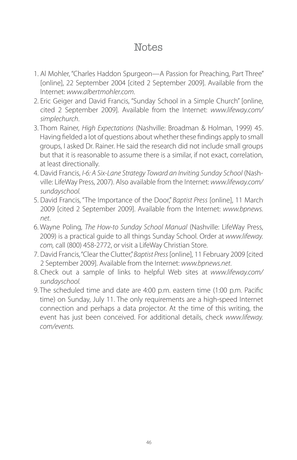## **Notes**

- 1. Al Mohler, "Charles Haddon Spurgeon—A Passion for Preaching, Part Three" [online], 22 September 2004 [cited 2 September 2009]. Available from the Internet: *www.albertmohler.com*.
- 2. Eric Geiger and David Francis, "Sunday School in a Simple Church" [online, cited 2 September 2009]. Available from the Internet: *www.lifeway.com/ simplechurch*.
- 3. Thom Rainer, *High Expectations* (Nashville: Broadman & Holman, 1999) 45. Having fielded a lot of questions about whether these findings apply to small groups, I asked Dr. Rainer. He said the research did not include small groups but that it is reasonable to assume there is a similar, if not exact, correlation, at least directionally.
- 4. David Francis, *I-6: A Six-Lane Strategy Toward an Inviting Sunday School* (Nashville: LifeWay Press, 2007). Also available from the Internet:*www.lifeway.com/ sundayschool.*
- 5. David Francis, "The Importance of the Door," *Baptist Press* [online], 11 March 2009 [cited 2 September 2009]. Available from the Internet: *www.bpnews. net*.
- 6. Wayne Poling, *The How-to Sunday School Manual* (Nashville: LifeWay Press, 2009) is a practical guide to all things Sunday School. Order at *www.lifeway. com,* call (800) 458-2772, or visit a LifeWay Christian Store.
- 7. David Francis, "Clear the Clutter," *Baptist Press* [online], 11 February 2009 [cited 2 September 2009]. Available from the Internet: *www.bpnews.net*.
- 8. Check out a sample of links to helpful Web sites at *www.lifeway.com/ sundayschool.*
- 9. The scheduled time and date are 4:00 p.m. eastern time (1:00 p.m. Pacific time) on Sunday, July 11. The only requirements are a high-speed Internet connection and perhaps a data projector. At the time of this writing, the event has just been conceived. For additional details, check *www.lifeway. com/events.*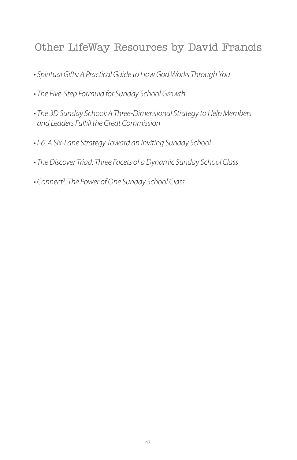## Other LifeWay Resources by David Francis

- Spiritual Gifts: A Practical Guide to How God Works Through You
- The Five-Step Formula for Sunday School Growth
- The 3D Sunday School: A Three-Dimensional Strategy to Help Members *and Leaders Fulfill the Great Commission*
- I-6: A Six-Lane Strategy Toward an Inviting Sunday School
- The Discover Triad: Three Facets of a Dynamic Sunday School Class
- Connect*<sup>3</sup> : The Power of One Sunday School Class*